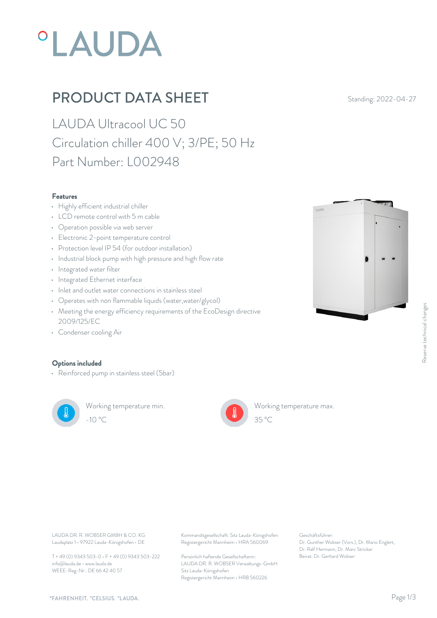# **°LAUDA**

## PRODUCT DATA SHEET Standing: 2022-04-27

LAUDA Ultracool UC 50 Circulation chiller 400 V; 3/PE; 50 Hz Part Number: L002948

#### Features

- Highly efficient industrial chiller
- LCD remote control with 5 m cable
- Operation possible via web server
- Electronic 2-point temperature control
- Protection level IP 54 (for outdoor installation)
- Industrial block pump with high pressure and high flow rate
- Integrated water filter
- Integrated Ethernet interface
- Inlet and outlet water connections in stainless steel
- Operates with non flammable liquids (water,water/glycol)
- Meeting the energy efficiency requirements of the EcoDesign directive 2009/125/EC
- Condenser cooling Air

#### Options included

• Reinforced pump in stainless steel (5bar)



Working temperature min. -10 °C 35 °C



Registergericht Mannheim • HRA 560069

Registergericht Mannheim • HRB 560226

Sitz Lauda-Königshofen

LAUDA DR. R. WOBSER Verwaltungs-GmbH

Working temperature max.  $35 \degree C$ 

 $\overline{a}$ 

LAUDA DR. R. WOBSER GMBH & CO. KG Kommanditgesellschaft: Sitz Lauda-Königshofen Geschäftsführer: Persönlich haftende Gesellschafterin: Beirat: Dr. Gerhard Wobse Geschäftsführer: Dr. Gunther Wobser (Vors.), Dr. Mario Englert, Dr. Ralf Hermann, Dr. Marc Stricker Beschäftsführer:<br>Beischäftsführer:<br>Dr. Gunther Wobser (Vors.), Dr. Mario Englert,<br>Dr. Ralf Hermann, Dr. Marc Stricker<br>Beirat: Dr. Gerhard Wobser

info@lauda.de • www.lauda.de WEEE-Reg-Nr.: DE 66 42 40 57

Laudaplatz 1 • 97922 Lauda-Königshofen • DE

T + 49 (0) 9343 503-0 • F + 49 (0) 9343 503-222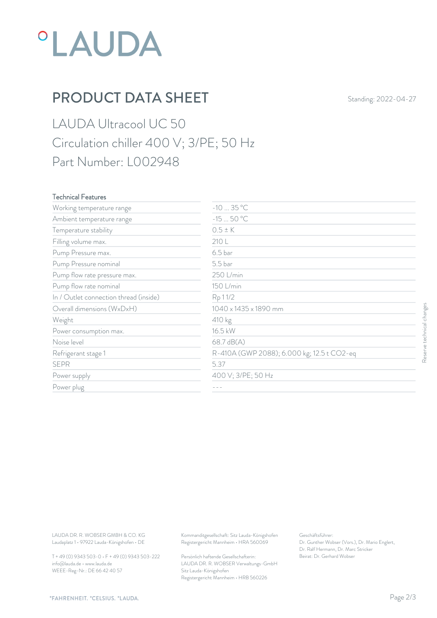

### PRODUCT DATA SHEET Standing: 2022-04-27

LAUDA Ultracool UC 50 Circulation chiller 400 V; 3/PE; 50 Hz Part Number: L002948

#### Technical Features

| Working temperature range                                                                                                                                                  | $-1035 °C$                                 |                                                                                                           |                           |
|----------------------------------------------------------------------------------------------------------------------------------------------------------------------------|--------------------------------------------|-----------------------------------------------------------------------------------------------------------|---------------------------|
| Ambient temperature range                                                                                                                                                  | $-1550 °C$                                 |                                                                                                           |                           |
| Temperature stability                                                                                                                                                      | $0.5 \pm K$                                |                                                                                                           |                           |
| Filling volume max.                                                                                                                                                        | 210 L                                      |                                                                                                           |                           |
| Pump Pressure max.                                                                                                                                                         | 6.5 <sub>bar</sub>                         |                                                                                                           |                           |
| Pump Pressure nominal                                                                                                                                                      | 5.5 bar                                    |                                                                                                           |                           |
| Pump flow rate pressure max.                                                                                                                                               | 250 L/min                                  |                                                                                                           |                           |
| Pump flow rate nominal                                                                                                                                                     | 150 L/min                                  |                                                                                                           |                           |
| In / Outlet connection thread (inside)                                                                                                                                     | Rp 11/2                                    |                                                                                                           |                           |
| Overall dimensions (WxDxH)                                                                                                                                                 | 1040 x 1435 x 1890 mm                      |                                                                                                           |                           |
| Weight                                                                                                                                                                     | 410 kg                                     |                                                                                                           | Reserve technical changes |
| Power consumption max.                                                                                                                                                     | 16.5 kW                                    |                                                                                                           |                           |
| Noise level                                                                                                                                                                | 68.7 dB(A)                                 |                                                                                                           |                           |
| Refrigerant stage 1                                                                                                                                                        | R-410A (GWP 2088); 6.000 kg; 12.5 t CO2-eq |                                                                                                           |                           |
| <b>SEPR</b>                                                                                                                                                                | 5.37                                       |                                                                                                           |                           |
| Power supply                                                                                                                                                               |                                            | 400 V; 3/PE; 50 Hz                                                                                        |                           |
| Power plug                                                                                                                                                                 |                                            |                                                                                                           |                           |
|                                                                                                                                                                            |                                            |                                                                                                           |                           |
| LAUDA DR. R. WOBSER GMBH & CO. KG<br>Kommanditgesellschaft: Sitz Lauda-Königshofen<br>Laudaplatz 1 · 97922 Lauda-Königshofen · DE<br>Registergericht Mannheim · HRA 560069 |                                            | Geschäftsführer:<br>Dr. Gunther Wobser (Vors.), Dr. Mario Englert,<br>Dr. Ralf Hermann, Dr. Marc Stricker |                           |
| T + 49 (0) 9343 503-0 · F + 49 (0) 9343 503-222                                                                                                                            | Persönlich haftende Gesellschafterin:      | Beirat: Dr. Gerhard Wobser                                                                                |                           |

T + 49 (0) 9343 503-0 • F + 49 (0) 9343 503-222 info@lauda.de • www.lauda.de WEEE-Reg-Nr.: DE 66 42 40 57

> Persönlich haftende Gesellschafterin: Beirat: Dr. Gerhard Wobser LAUDA DR. R. WOBSER Verwaltungs-GmbH Sitz Lauda-Königshofen Registergericht Mannheim • HRB 560226